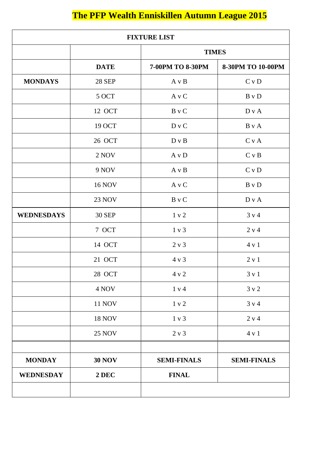# **The PFP Wealth Enniskillen Autumn League 2015**

| <b>FIXTURE LIST</b> |               |                    |                    |
|---------------------|---------------|--------------------|--------------------|
|                     |               | <b>TIMES</b>       |                    |
|                     | <b>DATE</b>   | 7-00PM TO 8-30PM   | 8-30PM TO 10-00PM  |
| <b>MONDAYS</b>      | <b>28 SEP</b> | A v B              | C v D              |
|                     | 5 OCT         | A v C              | B v D              |
|                     | 12 OCT        | B v C              | D v A              |
|                     | 19 OCT        | D v C              | $\rm B$ v $\rm A$  |
|                     | 26 OCT        | D v B              | C v A              |
|                     | 2 NOV         | A v D              | C v B              |
|                     | 9 NOV         | A v B              | C v D              |
|                     | <b>16 NOV</b> | A v C              | B v D              |
|                     | <b>23 NOV</b> | B v C              | D v A              |
| <b>WEDNESDAYS</b>   | <b>30 SEP</b> | 1 v 2              | 3 v 4              |
|                     | 7 OCT         | 1 v 3              | 2 v 4              |
|                     | 14 OCT        | 2 v 3              | 4 v 1              |
|                     | 21 OCT        | 4 v 3              | 2 v 1              |
|                     | 28 OCT        | 4 v 2              | 3 v 1              |
|                     | 4 NOV         | 1 v 4              | 3 v 2              |
|                     | <b>11 NOV</b> | 1 v 2              | 3 v 4              |
|                     | <b>18 NOV</b> | 1 v 3              | 2 v 4              |
|                     | <b>25 NOV</b> | 2 v 3              | 4 v 1              |
| <b>MONDAY</b>       | <b>30 NOV</b> | <b>SEMI-FINALS</b> | <b>SEMI-FINALS</b> |
| <b>WEDNESDAY</b>    | 2 DEC         | <b>FINAL</b>       |                    |